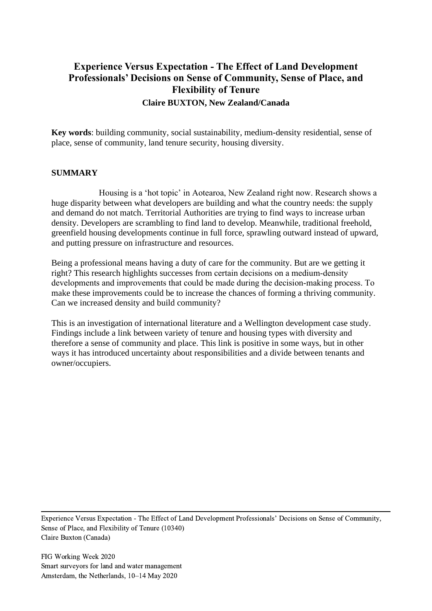# **Experience Versus Expectation - The Effect of Land Development Professionals' Decisions on Sense of Community, Sense of Place, and Flexibility of Tenure Claire BUXTON, New Zealand/Canada**

**Key words**: building community, social sustainability, medium-density residential, sense of place, sense of community, land tenure security, housing diversity.

### **SUMMARY**

Housing is a 'hot topic' in Aotearoa, New Zealand right now. Research shows a huge disparity between what developers are building and what the country needs: the supply and demand do not match. Territorial Authorities are trying to find ways to increase urban density. Developers are scrambling to find land to develop. Meanwhile, traditional freehold, greenfield housing developments continue in full force, sprawling outward instead of upward, and putting pressure on infrastructure and resources.

Being a professional means having a duty of care for the community. But are we getting it right? This research highlights successes from certain decisions on a medium‐density developments and improvements that could be made during the decision‐making process. To make these improvements could be to increase the chances of forming a thriving community. Can we increased density and build community?

This is an investigation of international literature and a Wellington development case study. Findings include a link between variety of tenure and housing types with diversity and therefore a sense of community and place. This link is positive in some ways, but in other ways it has introduced uncertainty about responsibilities and a divide between tenants and owner/occupiers.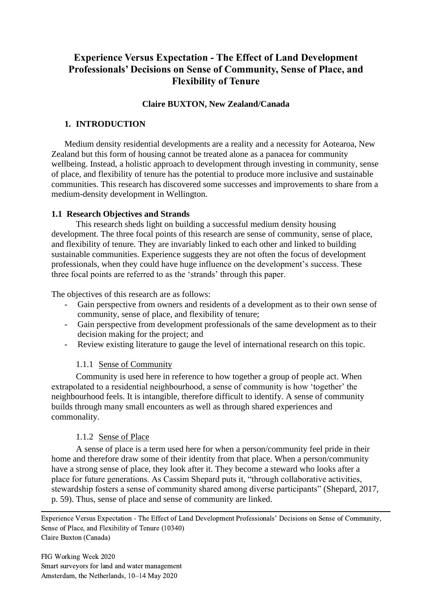# **Experience Versus Expectation - The Effect of Land Development Professionals' Decisions on Sense of Community, Sense of Place, and Flexibility of Tenure**

### **Claire BUXTON, New Zealand/Canada**

### **1. INTRODUCTION**

Medium density residential developments are a reality and a necessity for Aotearoa, New Zealand but this form of housing cannot be treated alone as a panacea for community wellbeing. Instead, a holistic approach to development through investing in community, sense of place, and flexibility of tenure has the potential to produce more inclusive and sustainable communities. This research has discovered some successes and improvements to share from a medium-density development in Wellington.

# **1.1 Research Objectives and Strands**

This research sheds light on building a successful medium density housing development. The three focal points of this research are sense of community, sense of place, and flexibility of tenure. They are invariably linked to each other and linked to building sustainable communities. Experience suggests they are not often the focus of development professionals, when they could have huge influence on the development's success. These three focal points are referred to as the 'strands' through this paper.

The objectives of this research are as follows:

- Gain perspective from owners and residents of a development as to their own sense of community, sense of place, and flexibility of tenure;
- Gain perspective from development professionals of the same development as to their decision making for the project; and
- Review existing literature to gauge the level of international research on this topic.

# 1.1.1 Sense of Community

Community is used here in reference to how together a group of people act. When extrapolated to a residential neighbourhood, a sense of community is how 'together' the neighbourhood feels. It is intangible, therefore difficult to identify. A sense of community builds through many small encounters as well as through shared experiences and commonality.

# 1.1.2 Sense of Place

A sense of place is a term used here for when a person/community feel pride in their home and therefore draw some of their identity from that place. When a person/community have a strong sense of place, they look after it. They become a steward who looks after a place for future generations. As Cassim Shepard puts it, "through collaborative activities, stewardship fosters a sense of community shared among diverse participants" [\(Shepard, 2017,](#page-16-0)  [p. 59\)](#page-16-0). Thus, sense of place and sense of community are linked.

Experience Versus Expectation - The Effect of Land Development Professionals' Decisions on Sense of Community, Sense of Place, and Flexibility of Tenure (10340) Claire Buxton (Canada)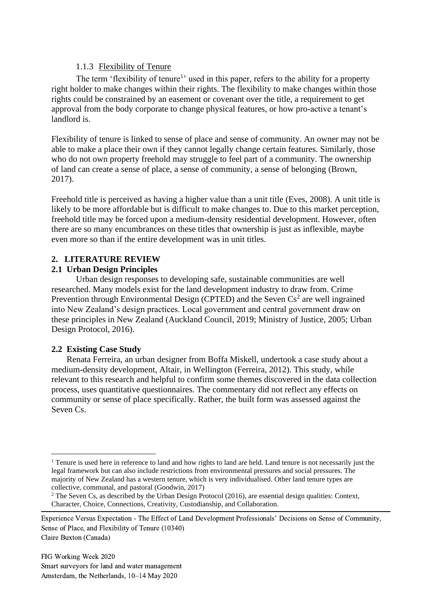# 1.1.3 Flexibility of Tenure

The term 'flexibility of tenure<sup>1</sup>' used in this paper, refers to the ability for a property right holder to make changes within their rights. The flexibility to make changes within those rights could be constrained by an easement or covenant over the title, a requirement to get approval from the body corporate to change physical features, or how pro-active a tenant's landlord is.

Flexibility of tenure is linked to sense of place and sense of community. An owner may not be able to make a place their own if they cannot legally change certain features. Similarly, those who do not own property freehold may struggle to feel part of a community. The ownership of land can create a sense of place, a sense of community, a sense of belonging [\(Brown,](#page-15-0)  [2017\)](#page-15-0).

Freehold title is perceived as having a higher value than a unit title [\(Eves, 2008\)](#page-15-1). A unit title is likely to be more affordable but is difficult to make changes to. Due to this market perception, freehold title may be forced upon a medium-density residential development. However, often there are so many encumbrances on these titles that ownership is just as inflexible, maybe even more so than if the entire development was in unit titles.

# **2. LITERATURE REVIEW**

# **2.1 Urban Design Principles**

Urban design responses to developing safe, sustainable communities are well researched. Many models exist for the land development industry to draw from. Crime Prevention through Environmental Design (CPTED) and the Seven  $Cs<sup>2</sup>$  are well ingrained into New Zealand's design practices. Local government and central government draw on these principles in New Zealand [\(Auckland Council, 2019;](#page-15-2) [Ministry of Justice, 2005;](#page-16-1) [Urban](#page-16-2)  [Design Protocol, 2016\)](#page-16-2).

# **2.2 Existing Case Study**

Renata Ferreira, an urban designer from Boffa Miskell, undertook a case study about a medium-density development, Altair, in Wellington [\(Ferreira, 2012\)](#page-15-3). This study, while relevant to this research and helpful to confirm some themes discovered in the data collection process, uses quantitative questionnaires. The commentary did not reflect any effects on community or sense of place specifically. Rather, the built form was assessed against the Seven Cs.

<sup>&</sup>lt;sup>1</sup> Tenure is used here in reference to land and how rights to land are held. Land tenure is not necessarily just the legal framework but can also include restrictions from environmental pressures and social pressures. The majority of New Zealand has a western tenure, which is very individualised. Other land tenure types are collective, communal, and pastoral [\(Goodwin, 2017\)](#page-15-4)

 $2$  The Seven Cs, as described by the Urban Design Protocol (2016), are essential design qualities: Context, Character, Choice, Connections, Creativity, Custodianship, and Collaboration.

Experience Versus Expectation - The Effect of Land Development Professionals' Decisions on Sense of Community, Sense of Place, and Flexibility of Tenure (10340) Claire Buxton (Canada)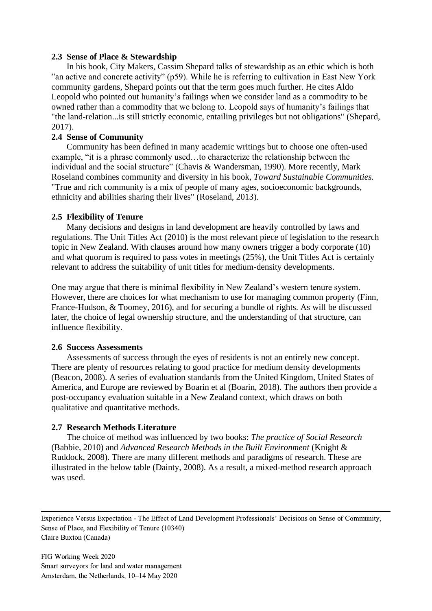#### **2.3 Sense of Place & Stewardship**

In his book, City Makers, Cassim Shepard talks of stewardship as an ethic which is both "an active and concrete activity" (p59). While he is referring to cultivation in East New York community gardens, Shepard points out that the term goes much further. He cites Aldo Leopold who pointed out humanity's failings when we consider land as a commodity to be owned rather than a commodity that we belong to. Leopold says of humanity's failings that "the land-relation...is still strictly economic, entailing privileges but not obligations" [\(Shepard,](#page-16-0)  [2017\)](#page-16-0).

#### **2.4 Sense of Community**

Community has been defined in many academic writings but to choose one often-used example, "it is a phrase commonly used…to characterize the relationship between the individual and the social structure" [\(Chavis & Wandersman, 1990\)](#page-15-5). More recently, Mark Roseland combines community and diversity in his book, *Toward Sustainable Communities.* "True and rich community is a mix of people of many ages, socioeconomic backgrounds, ethnicity and abilities sharing their lives" [\(Roseland, 2013\)](#page-16-3).

#### **2.5 Flexibility of Tenure**

Many decisions and designs in land development are heavily controlled by laws and regulations. The Unit Titles Act [\(2010\)](#page-16-4) is the most relevant piece of legislation to the research topic in New Zealand. With clauses around how many owners trigger a body corporate (10) and what quorum is required to pass votes in meetings (25%), the Unit Titles Act is certainly relevant to address the suitability of unit titles for medium-density developments.

One may argue that there is minimal flexibility in New Zealand's western tenure system. However, there are choices for what mechanism to use for managing common property [\(Finn,](#page-15-6)  [France-Hudson, & Toomey, 2016\)](#page-15-6), and for securing a bundle of rights. As will be discussed later, the choice of legal ownership structure, and the understanding of that structure, can influence flexibility.

#### **2.6 Success Assessments**

Assessments of success through the eyes of residents is not an entirely new concept. There are plenty of resources relating to good practice for medium density developments [\(Beacon, 2008\)](#page-15-7). A series of evaluation standards from the United Kingdom, United States of America, and Europe are reviewed by Boarin et al [\(Boarin, 2018\)](#page-15-8). The authors then provide a post-occupancy evaluation suitable in a New Zealand context, which draws on both qualitative and quantitative methods.

#### **2.7 Research Methods Literature**

The choice of method was influenced by two books: *The practice of Social Research* [\(Babbie, 2010\)](#page-15-9) and *Advanced Research Methods in the Built Environment* [\(Knight &](#page-16-5)  [Ruddock, 2008\)](#page-16-5). There are many different methods and paradigms of research. These are illustrated in the below table [\(Dainty, 2008\)](#page-15-10). As a result, a mixed-method research approach was used.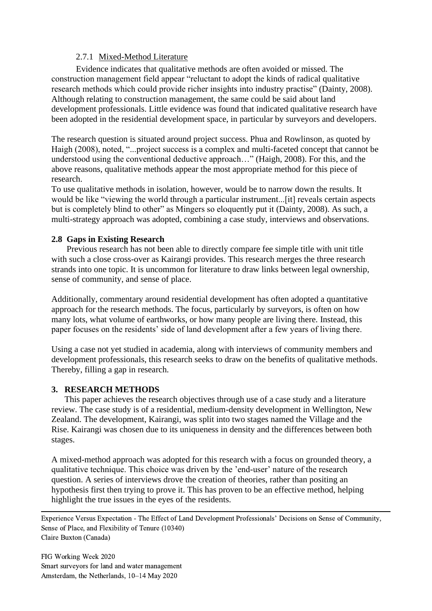### 2.7.1 Mixed-Method Literature

Evidence indicates that qualitative methods are often avoided or missed. The construction management field appear "reluctant to adopt the kinds of radical qualitative research methods which could provide richer insights into industry practise" [\(Dainty, 2008\)](#page-15-10). Although relating to construction management, the same could be said about land development professionals. Little evidence was found that indicated qualitative research have been adopted in the residential development space, in particular by surveyors and developers.

The research question is situated around project success. Phua and Rowlinson, as quoted by Haigh (2008), noted, "...project success is a complex and multi-faceted concept that cannot be understood using the conventional deductive approach…" [\(Haigh, 2008\)](#page-15-11). For this, and the above reasons, qualitative methods appear the most appropriate method for this piece of research.

To use qualitative methods in isolation, however, would be to narrow down the results. It would be like "viewing the world through a particular instrument...[it] reveals certain aspects but is completely blind to other" as Mingers so eloquently put it [\(Dainty, 2008\)](#page-15-10). As such, a multi-strategy approach was adopted, combining a case study, interviews and observations.

# **2.8 Gaps in Existing Research**

Previous research has not been able to directly compare fee simple title with unit title with such a close cross-over as Kairangi provides. This research merges the three research strands into one topic. It is uncommon for literature to draw links between legal ownership, sense of community, and sense of place.

Additionally, commentary around residential development has often adopted a quantitative approach for the research methods. The focus, particularly by surveyors, is often on how many lots, what volume of earthworks, or how many people are living there. Instead, this paper focuses on the residents' side of land development after a few years of living there.

Using a case not yet studied in academia, along with interviews of community members and development professionals, this research seeks to draw on the benefits of qualitative methods. Thereby, filling a gap in research.

### **3. RESEARCH METHODS**

This paper achieves the research objectives through use of a case study and a literature review. The case study is of a residential, medium-density development in Wellington, New Zealand. The development, Kairangi, was split into two stages named the Village and the Rise. Kairangi was chosen due to its uniqueness in density and the differences between both stages.

A mixed-method approach was adopted for this research with a focus on grounded theory, a qualitative technique. This choice was driven by the 'end-user' nature of the research question. A series of interviews drove the creation of theories, rather than positing an hypothesis first then trying to prove it. This has proven to be an effective method, helping highlight the true issues in the eyes of the residents.

Experience Versus Expectation - The Effect of Land Development Professionals' Decisions on Sense of Community, Sense of Place, and Flexibility of Tenure (10340) Claire Buxton (Canada)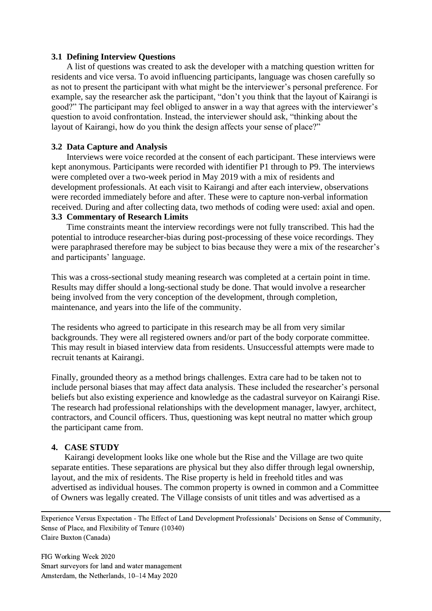#### **3.1 Defining Interview Questions**

A list of questions was created to ask the developer with a matching question written for residents and vice versa. To avoid influencing participants, language was chosen carefully so as not to present the participant with what might be the interviewer's personal preference. For example, say the researcher ask the participant, "don't you think that the layout of Kairangi is good?" The participant may feel obliged to answer in a way that agrees with the interviewer's question to avoid confrontation. Instead, the interviewer should ask, "thinking about the layout of Kairangi, how do you think the design affects your sense of place?"

### **3.2 Data Capture and Analysis**

Interviews were voice recorded at the consent of each participant. These interviews were kept anonymous. Participants were recorded with identifier P1 through to P9. The interviews were completed over a two-week period in May 2019 with a mix of residents and development professionals. At each visit to Kairangi and after each interview, observations were recorded immediately before and after. These were to capture non-verbal information received. During and after collecting data, two methods of coding were used: axial and open.

### **3.3 Commentary of Research Limits**

Time constraints meant the interview recordings were not fully transcribed. This had the potential to introduce researcher-bias during post-processing of these voice recordings. They were paraphrased therefore may be subject to bias because they were a mix of the researcher's and participants' language.

This was a cross-sectional study meaning research was completed at a certain point in time. Results may differ should a long-sectional study be done. That would involve a researcher being involved from the very conception of the development, through completion, maintenance, and years into the life of the community.

The residents who agreed to participate in this research may be all from very similar backgrounds. They were all registered owners and/or part of the body corporate committee. This may result in biased interview data from residents. Unsuccessful attempts were made to recruit tenants at Kairangi.

Finally, grounded theory as a method brings challenges. Extra care had to be taken not to include personal biases that may affect data analysis. These included the researcher's personal beliefs but also existing experience and knowledge as the cadastral surveyor on Kairangi Rise. The research had professional relationships with the development manager, lawyer, architect, contractors, and Council officers. Thus, questioning was kept neutral no matter which group the participant came from.

#### **4. CASE STUDY**

Kairangi development looks like one whole but the Rise and the Village are two quite separate entities. These separations are physical but they also differ through legal ownership, layout, and the mix of residents. The Rise property is held in freehold titles and was advertised as individual houses. The common property is owned in common and a Committee of Owners was legally created. The Village consists of unit titles and was advertised as a

Experience Versus Expectation - The Effect of Land Development Professionals' Decisions on Sense of Community, Sense of Place, and Flexibility of Tenure (10340) Claire Buxton (Canada)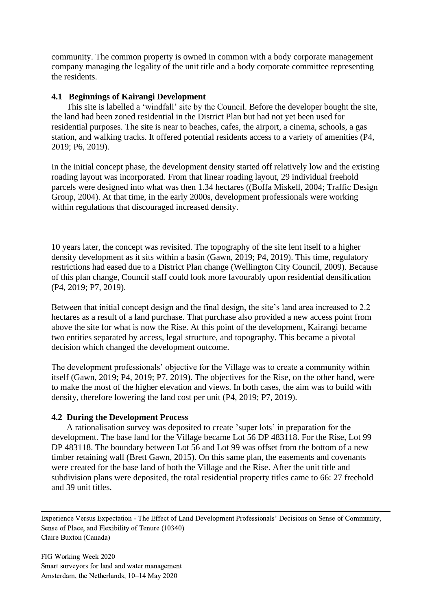community. The common property is owned in common with a body corporate management company managing the legality of the unit title and a body corporate committee representing the residents.

### **4.1 Beginnings of Kairangi Development**

This site is labelled a 'windfall' site by the Council. Before the developer bought the site, the land had been zoned residential in the District Plan but had not yet been used for residential purposes. The site is near to beaches, cafes, the airport, a cinema, schools, a gas station, and walking tracks. It offered potential residents access to a variety of amenities [\(P4,](#page-16-6)  [2019;](#page-16-6) [P6, 2019\)](#page-16-7).

In the initial concept phase, the development density started off relatively low and the existing roading layout was incorporated. From that linear roading layout, 29 individual freehold parcels were designed into what was then 1.34 hectares ([\(Boffa Miskell, 2004;](#page-15-12) [Traffic Design](#page-16-8)  [Group, 2004\)](#page-16-8). At that time, in the early 2000s, development professionals were working within regulations that discouraged increased density.

10 years later, the concept was revisited. The topography of the site lent itself to a higher density development as it sits within a basin [\(Gawn, 2019;](#page-16-9) [P4, 2019\)](#page-16-6). This time, regulatory restrictions had eased due to a District Plan change [\(Wellington City Council, 2009\)](#page-16-10). Because of this plan change, Council staff could look more favourably upon residential densification [\(P4, 2019;](#page-16-6) [P7, 2019\)](#page-16-11).

Between that initial concept design and the final design, the site's land area increased to 2.2 hectares as a result of a land purchase. That purchase also provided a new access point from above the site for what is now the Rise. At this point of the development, Kairangi became two entities separated by access, legal structure, and topography. This became a pivotal decision which changed the development outcome.

The development professionals' objective for the Village was to create a community within itself [\(Gawn, 2019;](#page-16-9) [P4, 2019;](#page-16-6) [P7, 2019\)](#page-16-11). The objectives for the Rise, on the other hand, were to make the most of the higher elevation and views. In both cases, the aim was to build with density, therefore lowering the land cost per unit [\(P4, 2019;](#page-16-6) [P7, 2019\)](#page-16-11).

#### **4.2 During the Development Process**

A rationalisation survey was deposited to create 'super lots' in preparation for the development. The base land for the Village became Lot 56 DP 483118. For the Rise, Lot 99 DP 483118. The boundary between Lot 56 and Lot 99 was offset from the bottom of a new timber retaining wall [\(Brett Gawn, 2015\)](#page-15-13). On this same plan, the easements and covenants were created for the base land of both the Village and the Rise. After the unit title and subdivision plans were deposited, the total residential property titles came to 66: 27 freehold and 39 unit titles.

Experience Versus Expectation - The Effect of Land Development Professionals' Decisions on Sense of Community, Sense of Place, and Flexibility of Tenure (10340) Claire Buxton (Canada)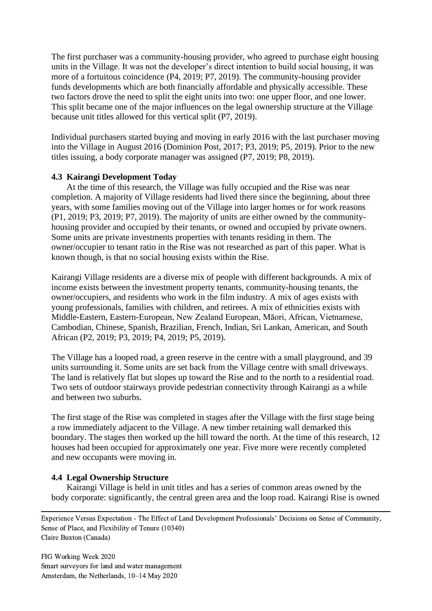The first purchaser was a community-housing provider, who agreed to purchase eight housing units in the Village. It was not the developer's direct intention to build social housing, it was more of a fortuitous coincidence [\(P4, 2019;](#page-16-6) [P7, 2019\)](#page-16-11). The community-housing provider funds developments which are both financially affordable and physically accessible. These two factors drove the need to split the eight units into two: one upper floor, and one lower. This split became one of the major influences on the legal ownership structure at the Village because unit titles allowed for this vertical split [\(P7, 2019\)](#page-16-11).

Individual purchasers started buying and moving in early 2016 with the last purchaser moving into the Village in August 2016 [\(Dominion Post, 2017;](#page-15-14) [P3, 2019;](#page-16-12) [P5, 2019\)](#page-16-13). Prior to the new titles issuing, a body corporate manager was assigned [\(P7, 2019;](#page-16-11) [P8, 2019\)](#page-16-14).

### **4.3 Kairangi Development Today**

At the time of this research, the Village was fully occupied and the Rise was near completion. A majority of Village residents had lived there since the beginning, about three years, with some families moving out of the Village into larger homes or for work reasons [\(P1, 2019;](#page-16-9) [P3, 2019;](#page-16-12) P7, [2019\)](#page-16-11). The majority of units are either owned by the communityhousing provider and occupied by their tenants, or owned and occupied by private owners. Some units are private investments properties with tenants residing in them. The owner/occupier to tenant ratio in the Rise was not researched as part of this paper. What is known though, is that no social housing exists within the Rise.

Kairangi Village residents are a diverse mix of people with different backgrounds. A mix of income exists between the investment property tenants, community-housing tenants, the owner/occupiers, and residents who work in the film industry. A mix of ages exists with young professionals, families with children, and retirees. A mix of ethnicities exists with Middle-Eastern, Eastern-European, New Zealand European, Māori, African, Vietnamese, Cambodian, Chinese, Spanish, Brazilian, French, Indian, Sri Lankan, American, and South African [\(P2, 2019;](#page-16-15) [P3, 2019;](#page-16-12) [P4, 2019;](#page-16-6) [P5, 2019\)](#page-16-13).

The Village has a looped road, a green reserve in the centre with a small playground, and 39 units surrounding it. Some units are set back from the Village centre with small driveways. The land is relatively flat but slopes up toward the Rise and to the north to a residential road. Two sets of outdoor stairways provide pedestrian connectivity through Kairangi as a while and between two suburbs.

The first stage of the Rise was completed in stages after the Village with the first stage being a row immediately adjacent to the Village. A new timber retaining wall demarked this boundary. The stages then worked up the hill toward the north. At the time of this research, 12 houses had been occupied for approximately one year. Five more were recently completed and new occupants were moving in.

# **4.4 Legal Ownership Structure**

Kairangi Village is held in unit titles and has a series of common areas owned by the body corporate: significantly, the central green area and the loop road. Kairangi Rise is owned

Experience Versus Expectation - The Effect of Land Development Professionals' Decisions on Sense of Community, Sense of Place, and Flexibility of Tenure (10340) Claire Buxton (Canada)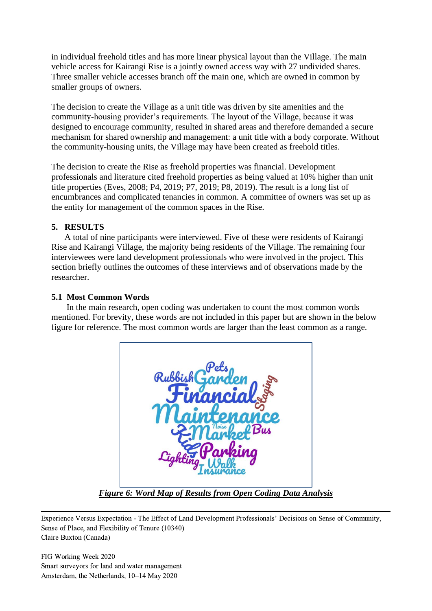in individual freehold titles and has more linear physical layout than the Village. The main vehicle access for Kairangi Rise is a jointly owned access way with 27 undivided shares. Three smaller vehicle accesses branch off the main one, which are owned in common by smaller groups of owners.

The decision to create the Village as a unit title was driven by site amenities and the community-housing provider's requirements. The layout of the Village, because it was designed to encourage community, resulted in shared areas and therefore demanded a secure mechanism for shared ownership and management: a unit title with a body corporate. Without the community-housing units, the Village may have been created as freehold titles.

The decision to create the Rise as freehold properties was financial. Development professionals and literature cited freehold properties as being valued at 10% higher than unit title properties [\(Eves, 2008;](#page-15-1) [P4, 2019;](#page-16-6) [P7, 2019;](#page-16-11) [P8, 2019\)](#page-16-14). The result is a long list of encumbrances and complicated tenancies in common. A committee of owners was set up as the entity for management of the common spaces in the Rise.

# **5. RESULTS**

A total of nine participants were interviewed. Five of these were residents of Kairangi Rise and Kairangi Village, the majority being residents of the Village. The remaining four interviewees were land development professionals who were involved in the project. This section briefly outlines the outcomes of these interviews and of observations made by the researcher.

# **5.1 Most Common Words**

In the main research, open coding was undertaken to count the most common words mentioned. For brevity, these words are not included in this paper but are shown in the below figure for reference. The most common words are larger than the least common as a range.



*Figure 6: Word Map of Results from Open Coding Data Analysis*

Experience Versus Expectation - The Effect of Land Development Professionals' Decisions on Sense of Community, Sense of Place, and Flexibility of Tenure (10340) Claire Buxton (Canada)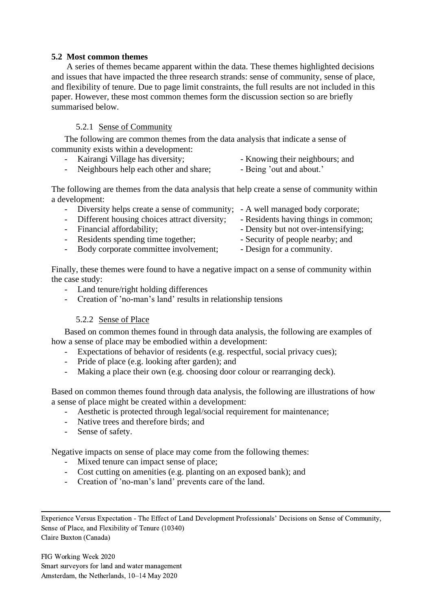### **5.2 Most common themes**

A series of themes became apparent within the data. These themes highlighted decisions and issues that have impacted the three research strands: sense of community, sense of place, and flexibility of tenure. Due to page limit constraints, the full results are not included in this paper. However, these most common themes form the discussion section so are briefly summarised below.

# 5.2.1 Sense of Community

The following are common themes from the data analysis that indicate a sense of community exists within a development:

Kairangi Village has diversity;  $\blacksquare$  - Knowing their neighbours; and - Neighbours help each other and share; - Being 'out and about.'

The following are themes from the data analysis that help create a sense of community within a development:

- Diversity helps create a sense of community; A well managed body corporate;
- Different housing choices attract diversity; Residents having things in common;
- Financial affordability;  $\blacksquare$  Density but not over-intensifying;
- Residents spending time together; Security of people nearby; and
	-
- Body corporate committee involvement; Design for a community.
- Finally, these themes were found to have a negative impact on a sense of community within the case study:
	- Land tenure/right holding differences
	- Creation of 'no-man's land' results in relationship tensions

# 5.2.2 Sense of Place

Based on common themes found in through data analysis, the following are examples of how a sense of place may be embodied within a development:

- Expectations of behavior of residents (e.g. respectful, social privacy cues);
- Pride of place (e.g. looking after garden); and
- Making a place their own (e.g. choosing door colour or rearranging deck).

Based on common themes found through data analysis, the following are illustrations of how a sense of place might be created within a development:

- Aesthetic is protected through legal/social requirement for maintenance;
- Native trees and therefore birds; and
- Sense of safety.

Negative impacts on sense of place may come from the following themes:

- Mixed tenure can impact sense of place;
- Cost cutting on amenities (e.g. planting on an exposed bank); and
- Creation of 'no-man's land' prevents care of the land.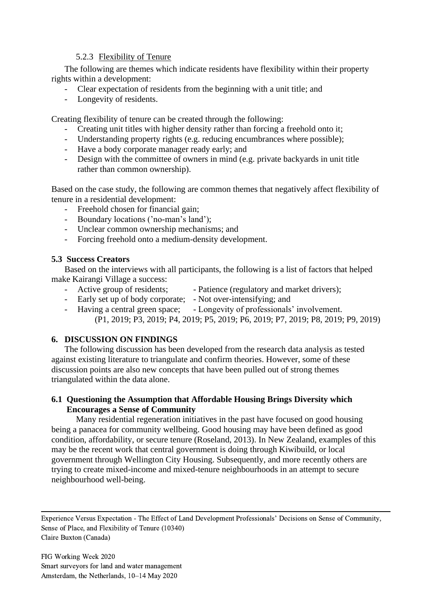### 5.2.3 Flexibility of Tenure

The following are themes which indicate residents have flexibility within their property rights within a development:

- Clear expectation of residents from the beginning with a unit title; and
- Longevity of residents.

Creating flexibility of tenure can be created through the following:

- Creating unit titles with higher density rather than forcing a freehold onto it;
- Understanding property rights (e.g. reducing encumbrances where possible);
- Have a body corporate manager ready early; and
- Design with the committee of owners in mind (e.g. private backyards in unit title rather than common ownership).

Based on the case study, the following are common themes that negatively affect flexibility of tenure in a residential development:

- Freehold chosen for financial gain;
- Boundary locations ('no-man's land');
- Unclear common ownership mechanisms; and
- Forcing freehold onto a medium-density development.

### **5.3 Success Creators**

Based on the interviews with all participants, the following is a list of factors that helped make Kairangi Village a success:

- Active group of residents; Patience (regulatory and market drivers);
- Early set up of body corporate; Not over-intensifying; and
- Having a central green space; Longevity of professionals' involvement. [\(P1, 2019;](#page-16-9) [P3, 2019;](#page-16-12) [P4, 2019;](#page-16-6) [P5, 2019;](#page-16-13) [P6, 2019;](#page-16-7) [P7, 2019;](#page-16-11) [P8, 2019;](#page-16-14) [P9, 2019\)](#page-16-16)

# **6. DISCUSSION ON FINDINGS**

The following discussion has been developed from the research data analysis as tested against existing literature to triangulate and confirm theories. However, some of these discussion points are also new concepts that have been pulled out of strong themes triangulated within the data alone.

### **6.1 Questioning the Assumption that Affordable Housing Brings Diversity which Encourages a Sense of Community**

Many residential regeneration initiatives in the past have focused on good housing being a panacea for community wellbeing. Good housing may have been defined as good condition, affordability, or secure tenure [\(Roseland, 2013\)](#page-16-3). In New Zealand, examples of this may be the recent work that central government is doing through Kiwibuild, or local government through Wellington City Housing. Subsequently, and more recently others are trying to create mixed-income and mixed-tenure neighbourhoods in an attempt to secure neighbourhood well-being.

Experience Versus Expectation - The Effect of Land Development Professionals' Decisions on Sense of Community, Sense of Place, and Flexibility of Tenure (10340) Claire Buxton (Canada)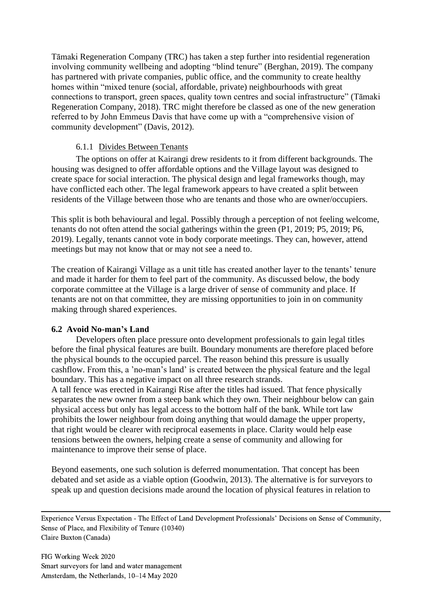Tāmaki Regeneration Company (TRC) has taken a step further into residential regeneration involving community wellbeing and adopting "blind tenure" [\(Berghan, 2019\)](#page-16-9). The company has partnered with private companies, public office, and the community to create healthy homes within "mixed tenure (social, affordable, private) neighbourhoods with great connections to transport, green spaces, quality town centres and social infrastructure" [\(Tāmaki](#page-16-17)  [Regeneration Company, 2018\)](#page-16-17). TRC might therefore be classed as one of the new generation referred to by John Emmeus Davis that have come up with a "comprehensive vision of community development" [\(Davis, 2012\)](#page-15-15).

# 6.1.1 Divides Between Tenants

The options on offer at Kairangi drew residents to it from different backgrounds. The housing was designed to offer affordable options and the Village layout was designed to create space for social interaction. The physical design and legal frameworks though, may have conflicted each other. The legal framework appears to have created a split between residents of the Village between those who are tenants and those who are owner/occupiers.

This split is both behavioural and legal. Possibly through a perception of not feeling welcome, tenants do not often attend the social gatherings within the green [\(P1, 2019;](#page-16-9) [P5, 2019;](#page-16-13) [P6,](#page-16-7)  [2019\)](#page-16-7). Legally, tenants cannot vote in body corporate meetings. They can, however, attend meetings but may not know that or may not see a need to.

The creation of Kairangi Village as a unit title has created another layer to the tenants' tenure and made it harder for them to feel part of the community. As discussed below, the body corporate committee at the Village is a large driver of sense of community and place. If tenants are not on that committee, they are missing opportunities to join in on community making through shared experiences.

# **6.2 Avoid No-man's Land**

Developers often place pressure onto development professionals to gain legal titles before the final physical features are built. Boundary monuments are therefore placed before the physical bounds to the occupied parcel. The reason behind this pressure is usually cashflow. From this, a 'no-man's land' is created between the physical feature and the legal boundary. This has a negative impact on all three research strands.

A tall fence was erected in Kairangi Rise after the titles had issued. That fence physically separates the new owner from a steep bank which they own. Their neighbour below can gain physical access but only has legal access to the bottom half of the bank. While tort law prohibits the lower neighbour from doing anything that would damage the upper property, that right would be clearer with reciprocal easements in place. Clarity would help ease tensions between the owners, helping create a sense of community and allowing for maintenance to improve their sense of place.

Beyond easements, one such solution is deferred monumentation. That concept has been debated and set aside as a viable option [\(Goodwin, 2013\)](#page-15-16). The alternative is for surveyors to speak up and question decisions made around the location of physical features in relation to

Experience Versus Expectation - The Effect of Land Development Professionals' Decisions on Sense of Community, Sense of Place, and Flexibility of Tenure (10340) Claire Buxton (Canada)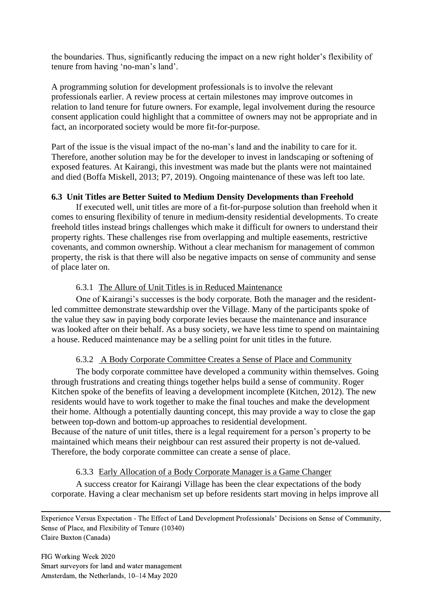the boundaries. Thus, significantly reducing the impact on a new right holder's flexibility of tenure from having 'no-man's land'.

A programming solution for development professionals is to involve the relevant professionals earlier. A review process at certain milestones may improve outcomes in relation to land tenure for future owners. For example, legal involvement during the resource consent application could highlight that a committee of owners may not be appropriate and in fact, an incorporated society would be more fit-for-purpose.

Part of the issue is the visual impact of the no-man's land and the inability to care for it. Therefore, another solution may be for the developer to invest in landscaping or softening of exposed features. At Kairangi, this investment was made but the plants were not maintained and died [\(Boffa Miskell, 2013;](#page-15-17) [P7, 2019\)](#page-16-11). Ongoing maintenance of these was left too late.

# **6.3 Unit Titles are Better Suited to Medium Density Developments than Freehold**

If executed well, unit titles are more of a fit-for-purpose solution than freehold when it comes to ensuring flexibility of tenure in medium-density residential developments. To create freehold titles instead brings challenges which make it difficult for owners to understand their property rights. These challenges rise from overlapping and multiple easements, restrictive covenants, and common ownership. Without a clear mechanism for management of common property, the risk is that there will also be negative impacts on sense of community and sense of place later on.

# 6.3.1 The Allure of Unit Titles is in Reduced Maintenance

One of Kairangi's successes is the body corporate. Both the manager and the residentled committee demonstrate stewardship over the Village. Many of the participants spoke of the value they saw in paying body corporate levies because the maintenance and insurance was looked after on their behalf. As a busy society, we have less time to spend on maintaining a house. Reduced maintenance may be a selling point for unit titles in the future.

# 6.3.2 A Body Corporate Committee Creates a Sense of Place and Community

The body corporate committee have developed a community within themselves. Going through frustrations and creating things together helps build a sense of community. Roger Kitchen spoke of the benefits of leaving a development incomplete [\(Kitchen, 2012\)](#page-16-18). The new residents would have to work together to make the final touches and make the development their home. Although a potentially daunting concept, this may provide a way to close the gap between top-down and bottom-up approaches to residential development. Because of the nature of unit titles, there is a legal requirement for a person's property to be

maintained which means their neighbour can rest assured their property is not de-valued. Therefore, the body corporate committee can create a sense of place.

#### 6.3.3 Early Allocation of a Body Corporate Manager is a Game Changer

A success creator for Kairangi Village has been the clear expectations of the body corporate. Having a clear mechanism set up before residents start moving in helps improve all

Experience Versus Expectation - The Effect of Land Development Professionals' Decisions on Sense of Community, Sense of Place, and Flexibility of Tenure (10340) Claire Buxton (Canada)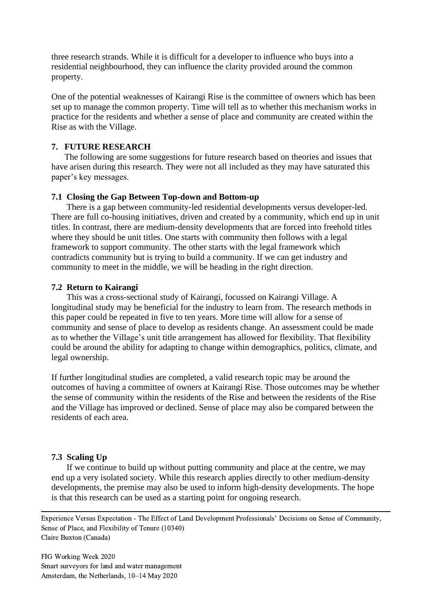three research strands. While it is difficult for a developer to influence who buys into a residential neighbourhood, they can influence the clarity provided around the common property.

One of the potential weaknesses of Kairangi Rise is the committee of owners which has been set up to manage the common property. Time will tell as to whether this mechanism works in practice for the residents and whether a sense of place and community are created within the Rise as with the Village.

#### **7. FUTURE RESEARCH**

The following are some suggestions for future research based on theories and issues that have arisen during this research. They were not all included as they may have saturated this paper's key messages.

#### **7.1 Closing the Gap Between Top-down and Bottom-up**

There is a gap between community-led residential developments versus developer-led. There are full co-housing initiatives, driven and created by a community, which end up in unit titles. In contrast, there are medium-density developments that are forced into freehold titles where they should be unit titles. One starts with community then follows with a legal framework to support community. The other starts with the legal framework which contradicts community but is trying to build a community. If we can get industry and community to meet in the middle, we will be heading in the right direction.

#### **7.2 Return to Kairangi**

This was a cross-sectional study of Kairangi, focussed on Kairangi Village. A longitudinal study may be beneficial for the industry to learn from. The research methods in this paper could be repeated in five to ten years. More time will allow for a sense of community and sense of place to develop as residents change. An assessment could be made as to whether the Village's unit title arrangement has allowed for flexibility. That flexibility could be around the ability for adapting to change within demographics, politics, climate, and legal ownership.

If further longitudinal studies are completed, a valid research topic may be around the outcomes of having a committee of owners at Kairangi Rise. Those outcomes may be whether the sense of community within the residents of the Rise and between the residents of the Rise and the Village has improved or declined. Sense of place may also be compared between the residents of each area.

#### **7.3 Scaling Up**

If we continue to build up without putting community and place at the centre, we may end up a very isolated society. While this research applies directly to other medium-density developments, the premise may also be used to inform high-density developments. The hope is that this research can be used as a starting point for ongoing research.

Experience Versus Expectation - The Effect of Land Development Professionals' Decisions on Sense of Community, Sense of Place, and Flexibility of Tenure (10340) Claire Buxton (Canada)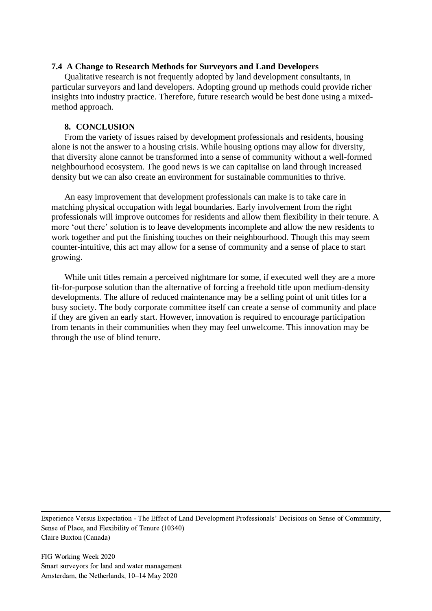#### **7.4 A Change to Research Methods for Surveyors and Land Developers**

Qualitative research is not frequently adopted by land development consultants, in particular surveyors and land developers. Adopting ground up methods could provide richer insights into industry practice. Therefore, future research would be best done using a mixedmethod approach.

#### **8. CONCLUSION**

From the variety of issues raised by development professionals and residents, housing alone is not the answer to a housing crisis. While housing options may allow for diversity, that diversity alone cannot be transformed into a sense of community without a well-formed neighbourhood ecosystem. The good news is we can capitalise on land through increased density but we can also create an environment for sustainable communities to thrive.

An easy improvement that development professionals can make is to take care in matching physical occupation with legal boundaries. Early involvement from the right professionals will improve outcomes for residents and allow them flexibility in their tenure. A more 'out there' solution is to leave developments incomplete and allow the new residents to work together and put the finishing touches on their neighbourhood. Though this may seem counter-intuitive, this act may allow for a sense of community and a sense of place to start growing.

While unit titles remain a perceived nightmare for some, if executed well they are a more fit-for-purpose solution than the alternative of forcing a freehold title upon medium-density developments. The allure of reduced maintenance may be a selling point of unit titles for a busy society. The body corporate committee itself can create a sense of community and place if they are given an early start. However, innovation is required to encourage participation from tenants in their communities when they may feel unwelcome. This innovation may be through the use of blind tenure.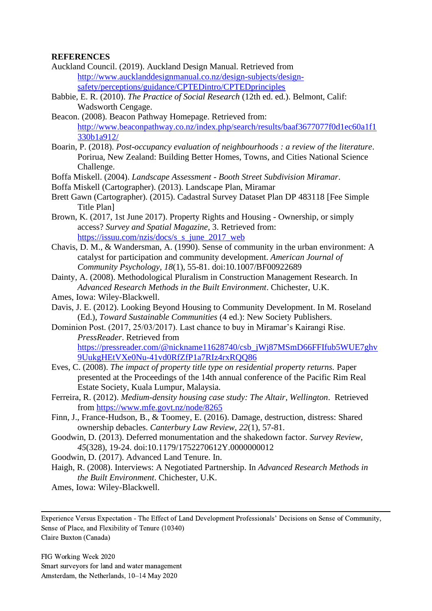### **REFERENCES**

- <span id="page-15-2"></span>Auckland Council. (2019). Auckland Design Manual. Retrieved from [http://www.aucklanddesignmanual.co.nz/design-subjects/design](http://www.aucklanddesignmanual.co.nz/design-subjects/design-safety/perceptions/guidance/CPTEDintro/CPTEDprinciples)[safety/perceptions/guidance/CPTEDintro/CPTEDprinciples](http://www.aucklanddesignmanual.co.nz/design-subjects/design-safety/perceptions/guidance/CPTEDintro/CPTEDprinciples)
- <span id="page-15-9"></span>Babbie, E. R. (2010). *The Practice of Social Research* (12th ed. ed.). Belmont, Calif: Wadsworth Cengage.
- <span id="page-15-7"></span>Beacon. (2008). Beacon Pathway Homepage. Retrieved from: [http://www.beaconpathway.co.nz/index.php/search/results/baaf3677077f0d1ec60a1f1](http://www.beaconpathway.co.nz/index.php/search/results/baaf3677077f0d1ec60a1f1330b1a912/) [330b1a912/](http://www.beaconpathway.co.nz/index.php/search/results/baaf3677077f0d1ec60a1f1330b1a912/)
- <span id="page-15-8"></span>Boarin, P. (2018). *Post-occupancy evaluation of neighbourhoods : a review of the literature*. Porirua, New Zealand: Building Better Homes, Towns, and Cities National Science Challenge.
- <span id="page-15-12"></span>Boffa Miskell. (2004). *Landscape Assessment - Booth Street Subdivision Miramar*.
- <span id="page-15-17"></span>Boffa Miskell (Cartographer). (2013). Landscape Plan, Miramar
- <span id="page-15-13"></span>Brett Gawn (Cartographer). (2015). Cadastral Survey Dataset Plan DP 483118 [Fee Simple Title Plan]
- <span id="page-15-0"></span>Brown, K. (2017, 1st June 2017). Property Rights and Housing - Ownership, or simply access? *Survey and Spatial Magazine,* 3. Retrieved from: [https://issuu.com/nzis/docs/s\\_s\\_june\\_2017\\_web](https://issuu.com/nzis/docs/s_s_june_2017_web)
- <span id="page-15-5"></span>Chavis, D. M., & Wandersman, A. (1990). Sense of community in the urban environment: A catalyst for participation and community development. *American Journal of Community Psychology, 18*(1), 55-81. doi:10.1007/BF00922689
- <span id="page-15-10"></span>Dainty, A. (2008). Methodological Pluralism in Construction Management Research. In *Advanced Research Methods in the Built Environment*. Chichester, U.K.
- Ames, Iowa: Wiley-Blackwell.
- <span id="page-15-15"></span>Davis, J. E. (2012). Looking Beyond Housing to Community Development. In M. Roseland (Ed.), *Toward Sustainable Communities* (4 ed.): New Society Publishers.
- <span id="page-15-14"></span>Dominion Post. (2017, 25/03/2017). Last chance to buy in Miramar's Kairangi Rise. *PressReader*. Retrieved from [https://pressreader.com/@nickname11628740/csb\\_jWj87MSmD66FFIfub5WUE7ghv](https://pressreader.com/@nickname11628740/csb_jWj87MSmD66FFIfub5WUE7ghv9UukgHEtVXe0Nu-41vd0RfZfP1a7RIz4rxRQQ86) [9UukgHEtVXe0Nu-41vd0RfZfP1a7RIz4rxRQQ86](https://pressreader.com/@nickname11628740/csb_jWj87MSmD66FFIfub5WUE7ghv9UukgHEtVXe0Nu-41vd0RfZfP1a7RIz4rxRQQ86)
- <span id="page-15-1"></span>Eves, C. (2008). *The impact of property title type on residential property returns.* Paper presented at the Proceedings of the 14th annual conference of the Pacific Rim Real Estate Society, Kuala Lumpur, Malaysia.
- <span id="page-15-3"></span>Ferreira, R. (2012). *Medium-density housing case study: The Altair, Wellington*. Retrieved from<https://www.mfe.govt.nz/node/8265>
- <span id="page-15-6"></span>Finn, J., France-Hudson, B., & Toomey, E. (2016). Damage, destruction, distress: Shared ownership debacles. *Canterbury Law Review, 22*(1), 57-81.
- <span id="page-15-16"></span>Goodwin, D. (2013). Deferred monumentation and the shakedown factor. *Survey Review, 45*(328), 19-24. doi:10.1179/1752270612Y.0000000012

<span id="page-15-4"></span>Goodwin, D. (2017). Advanced Land Tenure. In.

- <span id="page-15-11"></span>Haigh, R. (2008). Interviews: A Negotiated Partnership. In *Advanced Research Methods in the Built Environment*. Chichester, U.K.
- Ames, Iowa: Wiley-Blackwell.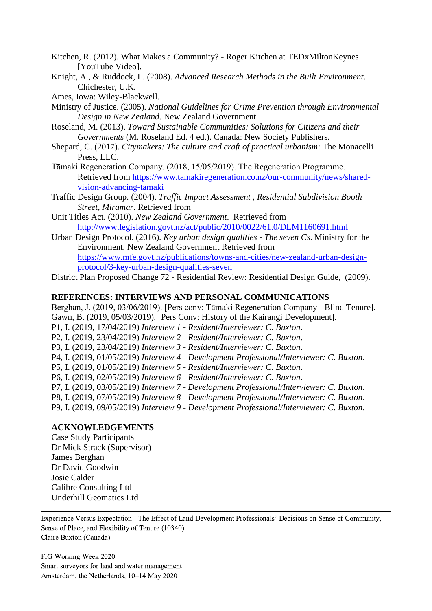<span id="page-16-18"></span>Kitchen, R. (2012). What Makes a Community? - Roger Kitchen at TEDxMiltonKeynes [YouTube Video].

<span id="page-16-5"></span>Knight, A., & Ruddock, L. (2008). *Advanced Research Methods in the Built Environment*. Chichester, U.K.

Ames, Iowa: Wiley-Blackwell.

<span id="page-16-1"></span>Ministry of Justice. (2005). *National Guidelines for Crime Prevention through Environmental Design in New Zealand*. New Zealand Government

- <span id="page-16-3"></span>Roseland, M. (2013). *Toward Sustainable Communities: Solutions for Citizens and their Governments* (M. Roseland Ed. 4 ed.). Canada: New Society Publishers.
- <span id="page-16-0"></span>Shepard, C. (2017). *Citymakers: The culture and craft of practical urbanism*: The Monacelli Press, LLC.
- <span id="page-16-17"></span>Tāmaki Regeneration Company. (2018, 15/05/2019). The Regeneration Programme. Retrieved from [https://www.tamakiregeneration.co.nz/our-community/news/shared](https://www.tamakiregeneration.co.nz/our-community/news/shared-vision-advancing-tamaki)[vision-advancing-tamaki](https://www.tamakiregeneration.co.nz/our-community/news/shared-vision-advancing-tamaki)
- <span id="page-16-8"></span>Traffic Design Group. (2004). *Traffic Impact Assessment , Residential Subdivision Booth Street, Miramar*. Retrieved from
- <span id="page-16-4"></span>Unit Titles Act. (2010). *New Zealand Government*. Retrieved from <http://www.legislation.govt.nz/act/public/2010/0022/61.0/DLM1160691.html>
- <span id="page-16-2"></span>Urban Design Protocol. (2016). *Key urban design qualities - The seven Cs*. Ministry for the Environment, New Zealand Government Retrieved from [https://www.mfe.govt.nz/publications/towns-and-cities/new-zealand-urban-design](https://www.mfe.govt.nz/publications/towns-and-cities/new-zealand-urban-design-protocol/3-key-urban-design-qualities-seven)[protocol/3-key-urban-design-qualities-seven](https://www.mfe.govt.nz/publications/towns-and-cities/new-zealand-urban-design-protocol/3-key-urban-design-qualities-seven)

<span id="page-16-10"></span>District Plan Proposed Change 72 - Residential Review: Residential Design Guide, (2009).

#### **REFERENCES: INTERVIEWS AND PERSONAL COMMUNICATIONS**

<span id="page-16-15"></span><span id="page-16-13"></span><span id="page-16-12"></span><span id="page-16-9"></span><span id="page-16-6"></span>Berghan, J. (2019, 03/06/2019). [Pers conv: Tāmaki Regeneration Company - Blind Tenure]. Gawn, B. (2019, 05/03/2019). [Pers Conv: History of the Kairangi Development]. P1, I. (2019, 17/04/2019) *Interview 1 - Resident/Interviewer: C. Buxton*. P2, I. (2019, 23/04/2019) *Interview 2 - Resident/Interviewer: C. Buxton*. P3, I. (2019, 23/04/2019) *Interview 3 - Resident/Interviewer: C. Buxton*. P4, I. (2019, 01/05/2019) *Interview 4 - Development Professional/Interviewer: C. Buxton*. P5, I. (2019, 01/05/2019) *Interview 5 - Resident/Interviewer: C. Buxton*. P6, I. (2019, 02/05/2019) *Interview 6 - Resident/Interviewer: C. Buxton*. P7, I. (2019, 03/05/2019) *Interview 7 - Development Professional/Interviewer: C. Buxton*. P8, I. (2019, 07/05/2019) *Interview 8 - Development Professional/Interviewer: C. Buxton*. P9, I. (2019, 09/05/2019) *Interview 9 - Development Professional/Interviewer: C. Buxton*.

#### <span id="page-16-16"></span><span id="page-16-14"></span><span id="page-16-11"></span><span id="page-16-7"></span>**ACKNOWLEDGEMENTS**

Case Study Participants Dr Mick Strack (Supervisor) James Berghan Dr David Goodwin Josie Calder Calibre Consulting Ltd Underhill Geomatics Ltd

Experience Versus Expectation - The Effect of Land Development Professionals' Decisions on Sense of Community, Sense of Place, and Flexibility of Tenure (10340) Claire Buxton (Canada)